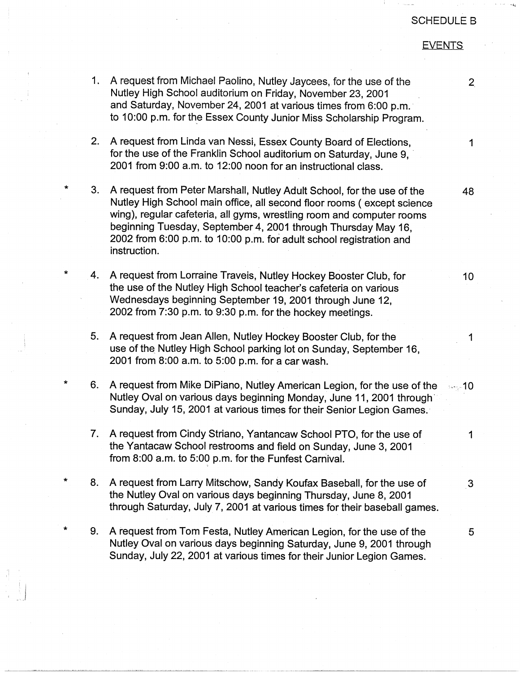## SCHEDULE B

## **EVENTS**

- 1. A request from Michael Paolino, Nutley Jaycees, for the use of the 2 Nutley High School auditorium on Friday, November 23, 2001 and Saturday, November 24, 2001 at various times from 6:00 p.m. to 10:00 p.m. for the Essex County Junior Miss Scholarship Program.
- 2. A request from Linda van Nessi, Essex County Board of Elections, 1997 1998. for the use of the Franklin School auditorium on Saturday, June 9, 2001 from 9:00 a.m. to 12:00 noon for an instructional class.
- \* 3. A request from Peter Marshall, Nutley Adult School, for the use of the 48 Nutley High School main office, all second floor rooms ( except science wing), regular cafeteria, all gyms, wrestling room and computer rooms beginning Tuesday, September 4, 2001 through Thursday May 16, 2002 from 6:00 p.m. to 10:00 p.m. for adult school registration and instruction.
- \* 4. A request from Lorraine Traveis, Nutley Hockey Booster Club, for 10 the use of the Nutley High School teacher's cafeteria on various Wednesdays beginning September 19, 2001 through June 12, 2002 from 7:30 p.m. to 9:30 p.m. for the hockey meetings.
	- 5. A request from Jean Allen, Nutley Hockey Booster Club, for the 1996 1999 1999 use of the Nutley High School parking lot on Sunday, September 16, 2001 from 8:00 a.m. to 5:00 p.m. for a car wash.
- \* 6. A request from Mike Di Piano, Nutley American Legion, for the use of the ·.·,-10 Nutley Oval on various days beginning Monday, June 11, 2001 through· Sunday, July 15, 2001 at various times for their Senior Legion Games.
	- 7. A request from Cindy Striano, Yantancaw School PTO, for the use of 1 the Yantacaw School restrooms and field on Sunday, June 3, 2001 from 8:00 a.m. to 5:00 p.m. for the Funfest Carnival.

'

- \* 8. A request from Larry Mitschow, Sandy Koufax Baseball, for the use of 3 the Nutley Oval on various days beginning Thursday, June 8, 2001 through Saturday, July 7, 2001 at various times for their baseball games.
- \* 9. A request from Tom Festa, Nutley American Legion, for the use of the 5 Nutley Oval on various days beginning Saturday, June 9, 2001 through Sunday, July 22, 2001 at various times for their Junior Legion Games.

 $\mathbb{I}$  I  $\mathbb{I}$